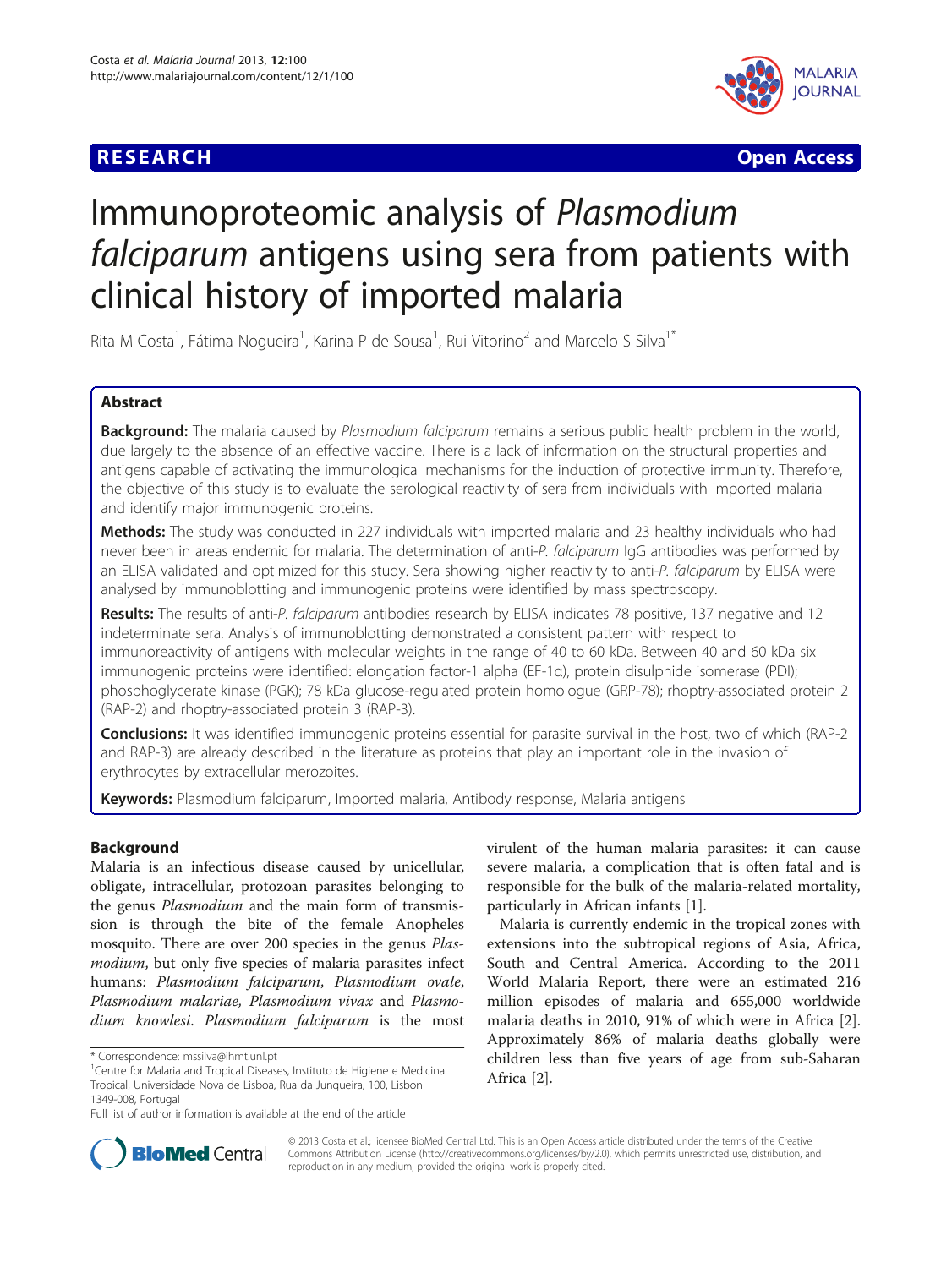# **RESEARCH CHE Open Access**



# Immunoproteomic analysis of Plasmodium falciparum antigens using sera from patients with clinical history of imported malaria

Rita M Costa<sup>1</sup>, Fátima Nogueira<sup>1</sup>, Karina P de Sousa<sup>1</sup>, Rui Vitorino<sup>2</sup> and Marcelo S Silva<sup>1\*</sup>

## Abstract

Background: The malaria caused by Plasmodium falciparum remains a serious public health problem in the world, due largely to the absence of an effective vaccine. There is a lack of information on the structural properties and antigens capable of activating the immunological mechanisms for the induction of protective immunity. Therefore, the objective of this study is to evaluate the serological reactivity of sera from individuals with imported malaria and identify major immunogenic proteins.

**Methods:** The study was conducted in 227 individuals with imported malaria and 23 healthy individuals who had never been in areas endemic for malaria. The determination of anti-P. falciparum IgG antibodies was performed by an ELISA validated and optimized for this study. Sera showing higher reactivity to anti-P. falciparum by ELISA were analysed by immunoblotting and immunogenic proteins were identified by mass spectroscopy.

Results: The results of anti-P. falciparum antibodies research by ELISA indicates 78 positive, 137 negative and 12 indeterminate sera. Analysis of immunoblotting demonstrated a consistent pattern with respect to immunoreactivity of antigens with molecular weights in the range of 40 to 60 kDa. Between 40 and 60 kDa six immunogenic proteins were identified: elongation factor-1 alpha (EF-1α), protein disulphide isomerase (PDI); phosphoglycerate kinase (PGK); 78 kDa glucose-regulated protein homologue (GRP-78); rhoptry-associated protein 2 (RAP-2) and rhoptry-associated protein 3 (RAP-3).

**Conclusions:** It was identified immunogenic proteins essential for parasite survival in the host, two of which (RAP-2 and RAP-3) are already described in the literature as proteins that play an important role in the invasion of erythrocytes by extracellular merozoites.

Keywords: Plasmodium falciparum, Imported malaria, Antibody response, Malaria antigens

## Background

Malaria is an infectious disease caused by unicellular, obligate, intracellular, protozoan parasites belonging to the genus *Plasmodium* and the main form of transmission is through the bite of the female Anopheles mosquito. There are over 200 species in the genus Plasmodium, but only five species of malaria parasites infect humans: Plasmodium falciparum, Plasmodium ovale, Plasmodium malariae, Plasmodium vivax and Plasmodium knowlesi. Plasmodium falciparum is the most virulent of the human malaria parasites: it can cause severe malaria, a complication that is often fatal and is responsible for the bulk of the malaria-related mortality, particularly in African infants [[1\]](#page-6-0).

Malaria is currently endemic in the tropical zones with extensions into the subtropical regions of Asia, Africa, South and Central America. According to the 2011 World Malaria Report, there were an estimated 216 million episodes of malaria and 655,000 worldwide malaria deaths in 2010, 91% of which were in Africa [\[2](#page-6-0)]. Approximately 86% of malaria deaths globally were children less than five years of age from sub-Saharan Africa [[2\]](#page-6-0).



© 2013 Costa et al.; licensee BioMed Central Ltd. This is an Open Access article distributed under the terms of the Creative Commons Attribution License [\(http://creativecommons.org/licenses/by/2.0\)](http://creativecommons.org/licenses/by/2.0), which permits unrestricted use, distribution, and reproduction in any medium, provided the original work is properly cited.

<sup>\*</sup> Correspondence: [mssilva@ihmt.unl.pt](mailto:mssilva@ihmt.unl.pt) <sup>1</sup>

<sup>&</sup>lt;sup>1</sup> Centre for Malaria and Tropical Diseases, Instituto de Higiene e Medicina Tropical, Universidade Nova de Lisboa, Rua da Junqueira, 100, Lisbon 1349-008, Portugal

Full list of author information is available at the end of the article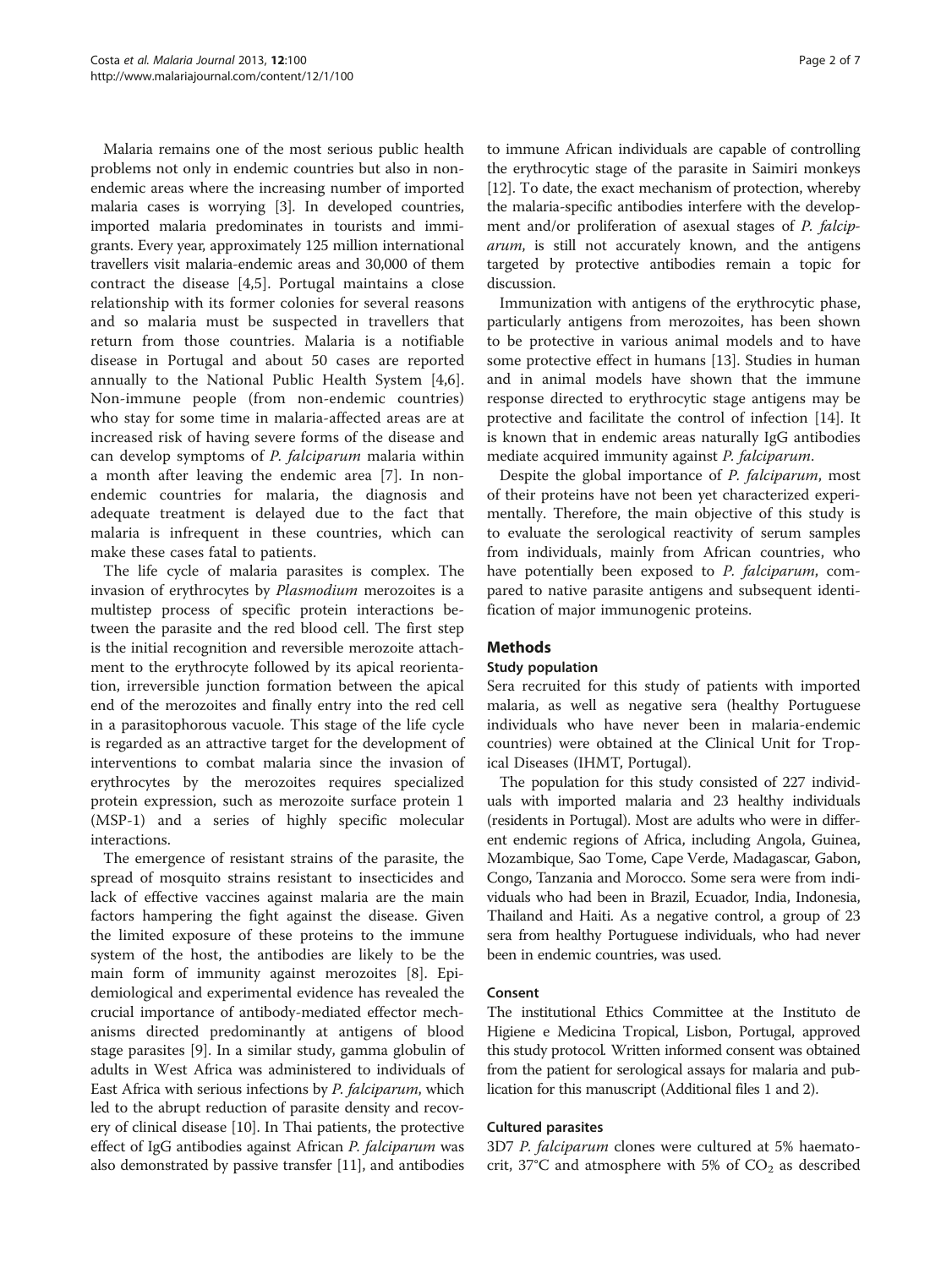Malaria remains one of the most serious public health problems not only in endemic countries but also in nonendemic areas where the increasing number of imported malaria cases is worrying [[3\]](#page-6-0). In developed countries, imported malaria predominates in tourists and immigrants. Every year, approximately 125 million international travellers visit malaria-endemic areas and 30,000 of them contract the disease [[4,5](#page-6-0)]. Portugal maintains a close relationship with its former colonies for several reasons and so malaria must be suspected in travellers that return from those countries. Malaria is a notifiable disease in Portugal and about 50 cases are reported annually to the National Public Health System [[4,6](#page-6-0)]. Non-immune people (from non-endemic countries) who stay for some time in malaria-affected areas are at increased risk of having severe forms of the disease and can develop symptoms of P. falciparum malaria within a month after leaving the endemic area [\[7](#page-6-0)]. In nonendemic countries for malaria, the diagnosis and adequate treatment is delayed due to the fact that malaria is infrequent in these countries, which can make these cases fatal to patients.

The life cycle of malaria parasites is complex. The invasion of erythrocytes by Plasmodium merozoites is a multistep process of specific protein interactions between the parasite and the red blood cell. The first step is the initial recognition and reversible merozoite attachment to the erythrocyte followed by its apical reorientation, irreversible junction formation between the apical end of the merozoites and finally entry into the red cell in a parasitophorous vacuole. This stage of the life cycle is regarded as an attractive target for the development of interventions to combat malaria since the invasion of erythrocytes by the merozoites requires specialized protein expression, such as merozoite surface protein 1 (MSP-1) and a series of highly specific molecular interactions.

The emergence of resistant strains of the parasite, the spread of mosquito strains resistant to insecticides and lack of effective vaccines against malaria are the main factors hampering the fight against the disease. Given the limited exposure of these proteins to the immune system of the host, the antibodies are likely to be the main form of immunity against merozoites [\[8](#page-6-0)]. Epidemiological and experimental evidence has revealed the crucial importance of antibody-mediated effector mechanisms directed predominantly at antigens of blood stage parasites [\[9](#page-6-0)]. In a similar study, gamma globulin of adults in West Africa was administered to individuals of East Africa with serious infections by P. falciparum, which led to the abrupt reduction of parasite density and recovery of clinical disease [[10](#page-6-0)]. In Thai patients, the protective effect of IgG antibodies against African P. falciparum was also demonstrated by passive transfer [[11\]](#page-6-0), and antibodies

to immune African individuals are capable of controlling the erythrocytic stage of the parasite in Saimiri monkeys [[12](#page-6-0)]. To date, the exact mechanism of protection, whereby the malaria-specific antibodies interfere with the development and/or proliferation of asexual stages of P. falciparum, is still not accurately known, and the antigens targeted by protective antibodies remain a topic for discussion.

Immunization with antigens of the erythrocytic phase, particularly antigens from merozoites, has been shown to be protective in various animal models and to have some protective effect in humans [\[13\]](#page-6-0). Studies in human and in animal models have shown that the immune response directed to erythrocytic stage antigens may be protective and facilitate the control of infection [[14\]](#page-6-0). It is known that in endemic areas naturally IgG antibodies mediate acquired immunity against P. falciparum.

Despite the global importance of P. falciparum, most of their proteins have not been yet characterized experimentally. Therefore, the main objective of this study is to evaluate the serological reactivity of serum samples from individuals, mainly from African countries, who have potentially been exposed to P. falciparum, compared to native parasite antigens and subsequent identification of major immunogenic proteins.

## **Methods**

## Study population

Sera recruited for this study of patients with imported malaria, as well as negative sera (healthy Portuguese individuals who have never been in malaria-endemic countries) were obtained at the Clinical Unit for Tropical Diseases (IHMT, Portugal).

The population for this study consisted of 227 individuals with imported malaria and 23 healthy individuals (residents in Portugal). Most are adults who were in different endemic regions of Africa, including Angola, Guinea, Mozambique, Sao Tome, Cape Verde, Madagascar, Gabon, Congo, Tanzania and Morocco. Some sera were from individuals who had been in Brazil, Ecuador, India, Indonesia, Thailand and Haiti. As a negative control, a group of 23 sera from healthy Portuguese individuals, who had never been in endemic countries, was used.

## Consent

The institutional Ethics Committee at the Instituto de Higiene e Medicina Tropical, Lisbon, Portugal, approved this study protocol. Written informed consent was obtained from the patient for serological assays for malaria and publication for this manuscript (Additional files [1](#page-5-0) and [2](#page-5-0)).

## Cultured parasites

3D7 P. falciparum clones were cultured at 5% haematocrit, 37°C and atmosphere with 5% of  $CO<sub>2</sub>$  as described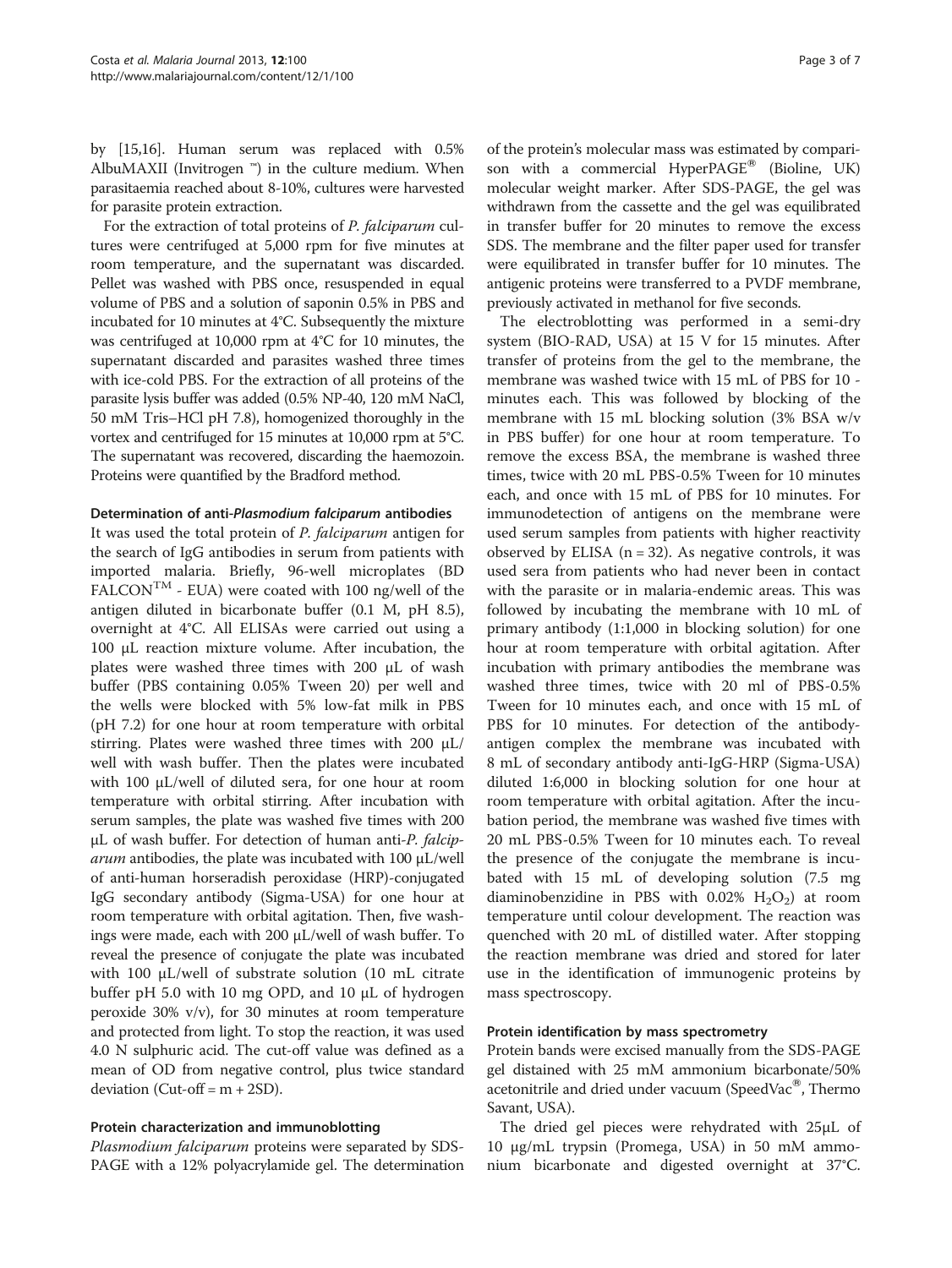by [\[15,16](#page-6-0)]. Human serum was replaced with 0.5% AlbuMAXII (Invitrogen  $\mathbb{N}$ ) in the culture medium. When parasitaemia reached about 8-10%, cultures were harvested for parasite protein extraction.

For the extraction of total proteins of P. falciparum cultures were centrifuged at 5,000 rpm for five minutes at room temperature, and the supernatant was discarded. Pellet was washed with PBS once, resuspended in equal volume of PBS and a solution of saponin 0.5% in PBS and incubated for 10 minutes at 4°C. Subsequently the mixture was centrifuged at 10,000 rpm at 4°C for 10 minutes, the supernatant discarded and parasites washed three times with ice-cold PBS. For the extraction of all proteins of the parasite lysis buffer was added (0.5% NP-40, 120 mM NaCl, 50 mM Tris–HCl pH 7.8), homogenized thoroughly in the vortex and centrifuged for 15 minutes at 10,000 rpm at 5°C. The supernatant was recovered, discarding the haemozoin. Proteins were quantified by the Bradford method.

#### Determination of anti-Plasmodium falciparum antibodies

It was used the total protein of P. falciparum antigen for the search of IgG antibodies in serum from patients with imported malaria. Briefly, 96-well microplates (BD  ${\rm FALCON}^{\rm TM}$  - EUA) were coated with 100 ng/well of the antigen diluted in bicarbonate buffer (0.1 M, pH 8.5), overnight at 4°C. All ELISAs were carried out using a 100 μL reaction mixture volume. After incubation, the plates were washed three times with 200 μL of wash buffer (PBS containing 0.05% Tween 20) per well and the wells were blocked with 5% low-fat milk in PBS (pH 7.2) for one hour at room temperature with orbital stirring. Plates were washed three times with 200 μL/ well with wash buffer. Then the plates were incubated with 100 μL/well of diluted sera, for one hour at room temperature with orbital stirring. After incubation with serum samples, the plate was washed five times with 200 μL of wash buffer. For detection of human anti-P. falcip $arum$  antibodies, the plate was incubated with 100  $\mu$ L/well of anti-human horseradish peroxidase (HRP)-conjugated IgG secondary antibody (Sigma-USA) for one hour at room temperature with orbital agitation. Then, five washings were made, each with 200 μL/well of wash buffer. To reveal the presence of conjugate the plate was incubated with 100 μL/well of substrate solution (10 mL citrate buffer pH 5.0 with 10 mg OPD, and 10 μL of hydrogen peroxide 30% v/v), for 30 minutes at room temperature and protected from light. To stop the reaction, it was used 4.0 N sulphuric acid. The cut-off value was defined as a mean of OD from negative control, plus twice standard deviation (Cut-off =  $m + 2SD$ ).

## Protein characterization and immunoblotting

Plasmodium falciparum proteins were separated by SDS-PAGE with a 12% polyacrylamide gel. The determination

of the protein's molecular mass was estimated by comparison with a commercial HyperPAGE<sup>®</sup> (Bioline, UK) molecular weight marker. After SDS-PAGE, the gel was withdrawn from the cassette and the gel was equilibrated in transfer buffer for 20 minutes to remove the excess SDS. The membrane and the filter paper used for transfer were equilibrated in transfer buffer for 10 minutes. The antigenic proteins were transferred to a PVDF membrane, previously activated in methanol for five seconds.

The electroblotting was performed in a semi-dry system (BIO-RAD, USA) at 15 V for 15 minutes. After transfer of proteins from the gel to the membrane, the membrane was washed twice with 15 mL of PBS for 10 minutes each. This was followed by blocking of the membrane with 15 mL blocking solution (3% BSA w/v in PBS buffer) for one hour at room temperature. To remove the excess BSA, the membrane is washed three times, twice with 20 mL PBS-0.5% Tween for 10 minutes each, and once with 15 mL of PBS for 10 minutes. For immunodetection of antigens on the membrane were used serum samples from patients with higher reactivity observed by ELISA  $(n = 32)$ . As negative controls, it was used sera from patients who had never been in contact with the parasite or in malaria-endemic areas. This was followed by incubating the membrane with 10 mL of primary antibody (1:1,000 in blocking solution) for one hour at room temperature with orbital agitation. After incubation with primary antibodies the membrane was washed three times, twice with 20 ml of PBS-0.5% Tween for 10 minutes each, and once with 15 mL of PBS for 10 minutes. For detection of the antibodyantigen complex the membrane was incubated with 8 mL of secondary antibody anti-IgG-HRP (Sigma-USA) diluted 1:6,000 in blocking solution for one hour at room temperature with orbital agitation. After the incubation period, the membrane was washed five times with 20 mL PBS-0.5% Tween for 10 minutes each. To reveal the presence of the conjugate the membrane is incubated with 15 mL of developing solution (7.5 mg diaminobenzidine in PBS with  $0.02\%$  H<sub>2</sub>O<sub>2</sub>) at room temperature until colour development. The reaction was quenched with 20 mL of distilled water. After stopping the reaction membrane was dried and stored for later use in the identification of immunogenic proteins by mass spectroscopy.

#### Protein identification by mass spectrometry

Protein bands were excised manually from the SDS-PAGE gel distained with 25 mM ammonium bicarbonate/50% acetonitrile and dried under vacuum (SpeedVac®, Thermo Savant, USA).

The dried gel pieces were rehydrated with 25μL of 10 μg/mL trypsin (Promega, USA) in 50 mM ammonium bicarbonate and digested overnight at 37°C.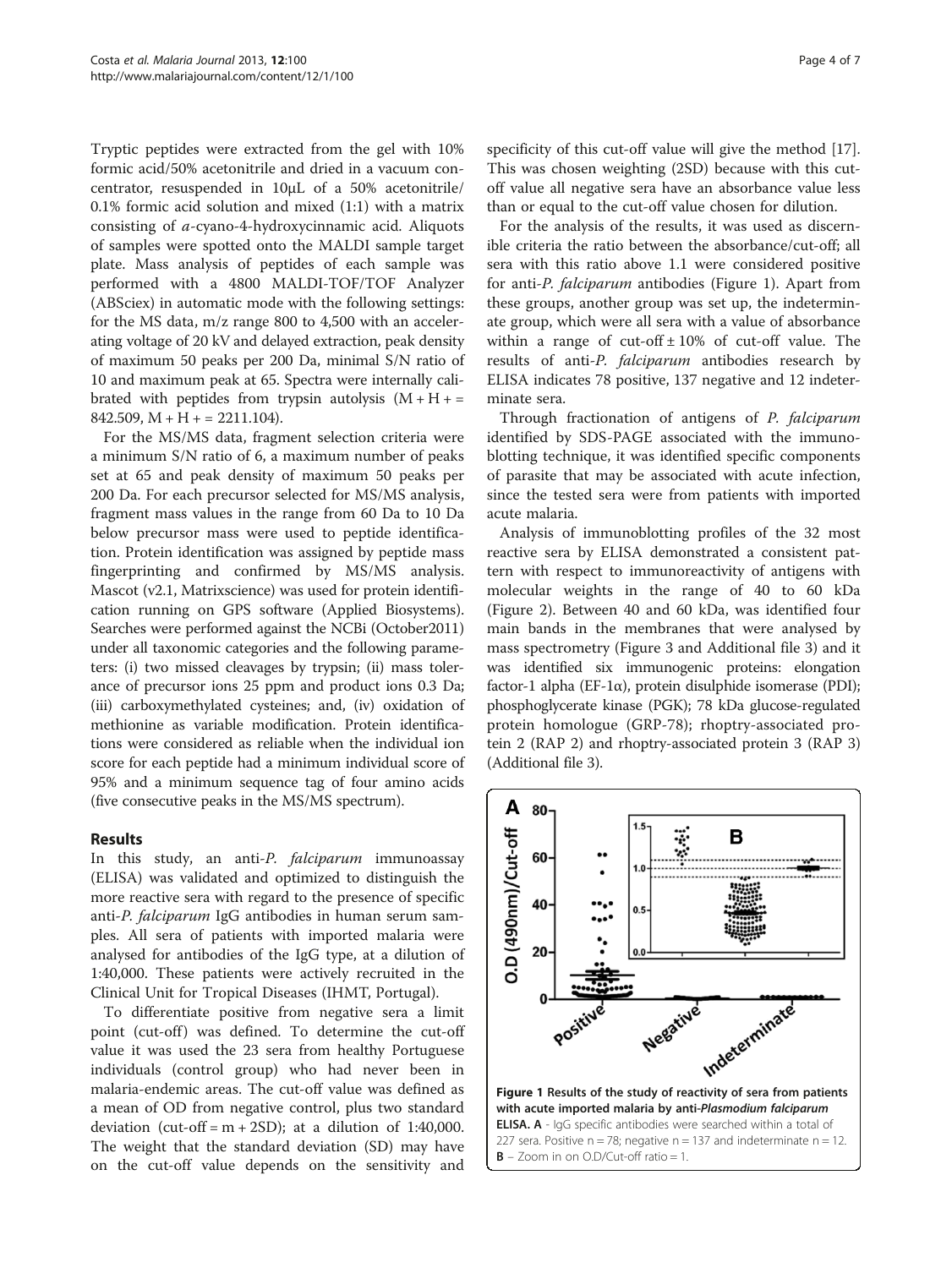Tryptic peptides were extracted from the gel with 10% formic acid/50% acetonitrile and dried in a vacuum concentrator, resuspended in 10μL of a 50% acetonitrile/ 0.1% formic acid solution and mixed (1:1) with a matrix consisting of a-cyano-4-hydroxycinnamic acid. Aliquots of samples were spotted onto the MALDI sample target plate. Mass analysis of peptides of each sample was performed with a 4800 MALDI-TOF/TOF Analyzer (ABSciex) in automatic mode with the following settings: for the MS data, m/z range 800 to 4,500 with an accelerating voltage of 20 kV and delayed extraction, peak density of maximum 50 peaks per 200 Da, minimal S/N ratio of 10 and maximum peak at 65. Spectra were internally calibrated with peptides from trypsin autolysis  $(M + H +$  $842.509$ , M + H + = 2211.104).

For the MS/MS data, fragment selection criteria were a minimum S/N ratio of 6, a maximum number of peaks set at 65 and peak density of maximum 50 peaks per 200 Da. For each precursor selected for MS/MS analysis, fragment mass values in the range from 60 Da to 10 Da below precursor mass were used to peptide identification. Protein identification was assigned by peptide mass fingerprinting and confirmed by MS/MS analysis. Mascot (v2.1, Matrixscience) was used for protein identification running on GPS software (Applied Biosystems). Searches were performed against the NCBi (October2011) under all taxonomic categories and the following parameters: (i) two missed cleavages by trypsin; (ii) mass tolerance of precursor ions 25 ppm and product ions 0.3 Da; (iii) carboxymethylated cysteines; and, (iv) oxidation of methionine as variable modification. Protein identifications were considered as reliable when the individual ion score for each peptide had a minimum individual score of 95% and a minimum sequence tag of four amino acids (five consecutive peaks in the MS/MS spectrum).

#### Results

In this study, an anti-P. falciparum immunoassay (ELISA) was validated and optimized to distinguish the more reactive sera with regard to the presence of specific anti-P. falciparum IgG antibodies in human serum samples. All sera of patients with imported malaria were analysed for antibodies of the IgG type, at a dilution of 1:40,000. These patients were actively recruited in the Clinical Unit for Tropical Diseases (IHMT, Portugal).

To differentiate positive from negative sera a limit point (cut-off) was defined. To determine the cut-off value it was used the 23 sera from healthy Portuguese individuals (control group) who had never been in malaria-endemic areas. The cut-off value was defined as a mean of OD from negative control, plus two standard deviation (cut-off =  $m + 2SD$ ); at a dilution of 1:40,000. The weight that the standard deviation (SD) may have on the cut-off value depends on the sensitivity and specificity of this cut-off value will give the method [\[17](#page-6-0)]. This was chosen weighting (2SD) because with this cutoff value all negative sera have an absorbance value less than or equal to the cut-off value chosen for dilution.

For the analysis of the results, it was used as discernible criteria the ratio between the absorbance/cut-off; all sera with this ratio above 1.1 were considered positive for anti-P. falciparum antibodies (Figure 1). Apart from these groups, another group was set up, the indeterminate group, which were all sera with a value of absorbance within a range of cut-off  $\pm 10\%$  of cut-off value. The results of anti-P. falciparum antibodies research by ELISA indicates 78 positive, 137 negative and 12 indeterminate sera.

Through fractionation of antigens of P. falciparum identified by SDS-PAGE associated with the immunoblotting technique, it was identified specific components of parasite that may be associated with acute infection, since the tested sera were from patients with imported acute malaria.

Analysis of immunoblotting profiles of the 32 most reactive sera by ELISA demonstrated a consistent pattern with respect to immunoreactivity of antigens with molecular weights in the range of 40 to 60 kDa (Figure [2\)](#page-4-0). Between 40 and 60 kDa, was identified four main bands in the membranes that were analysed by mass spectrometry (Figure [3](#page-4-0) and Additional file [3\)](#page-5-0) and it was identified six immunogenic proteins: elongation factor-1 alpha (EF-1 $\alpha$ ), protein disulphide isomerase (PDI); phosphoglycerate kinase (PGK); 78 kDa glucose-regulated protein homologue (GRP-78); rhoptry-associated protein 2 (RAP 2) and rhoptry-associated protein 3 (RAP 3) (Additional file [3](#page-5-0)).

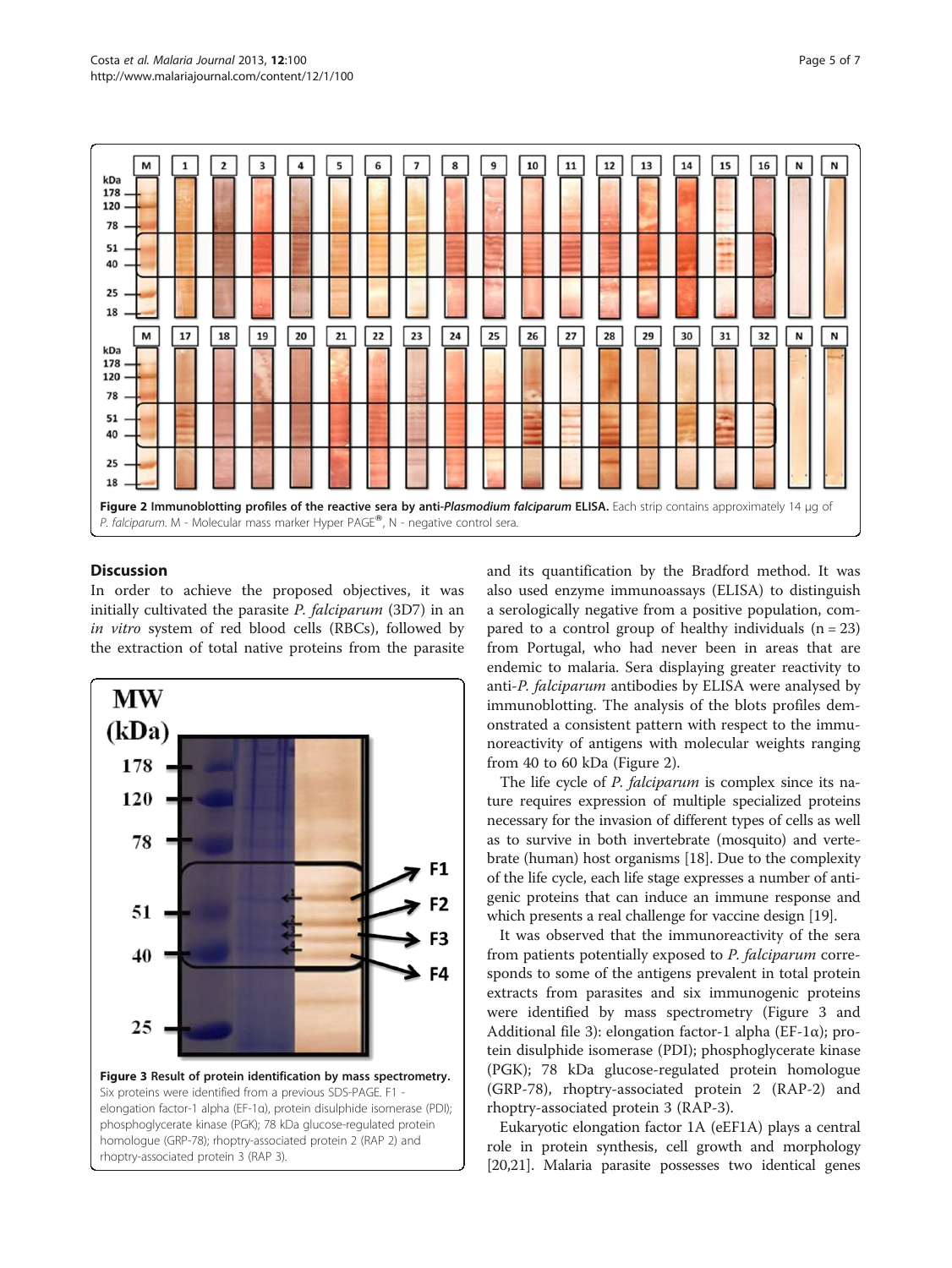<span id="page-4-0"></span>

## **Discussion**

In order to achieve the proposed objectives, it was initially cultivated the parasite P. falciparum (3D7) in an in vitro system of red blood cells (RBCs), followed by the extraction of total native proteins from the parasite



and its quantification by the Bradford method. It was also used enzyme immunoassays (ELISA) to distinguish a serologically negative from a positive population, compared to a control group of healthy individuals  $(n = 23)$ from Portugal, who had never been in areas that are endemic to malaria. Sera displaying greater reactivity to anti-P. falciparum antibodies by ELISA were analysed by immunoblotting. The analysis of the blots profiles demonstrated a consistent pattern with respect to the immunoreactivity of antigens with molecular weights ranging from 40 to 60 kDa (Figure 2).

The life cycle of *P. falciparum* is complex since its nature requires expression of multiple specialized proteins necessary for the invasion of different types of cells as well as to survive in both invertebrate (mosquito) and vertebrate (human) host organisms [\[18\]](#page-6-0). Due to the complexity of the life cycle, each life stage expresses a number of antigenic proteins that can induce an immune response and which presents a real challenge for vaccine design [\[19\]](#page-6-0).

It was observed that the immunoreactivity of the sera from patients potentially exposed to P. falciparum corresponds to some of the antigens prevalent in total protein extracts from parasites and six immunogenic proteins were identified by mass spectrometry (Figure 3 and Additional file [3](#page-5-0)): elongation factor-1 alpha (EF-1α); protein disulphide isomerase (PDI); phosphoglycerate kinase (PGK); 78 kDa glucose-regulated protein homologue (GRP-78), rhoptry-associated protein 2 (RAP-2) and rhoptry-associated protein 3 (RAP-3).

Eukaryotic elongation factor 1A (eEF1A) plays a central role in protein synthesis, cell growth and morphology [[20](#page-6-0),[21](#page-6-0)]. Malaria parasite possesses two identical genes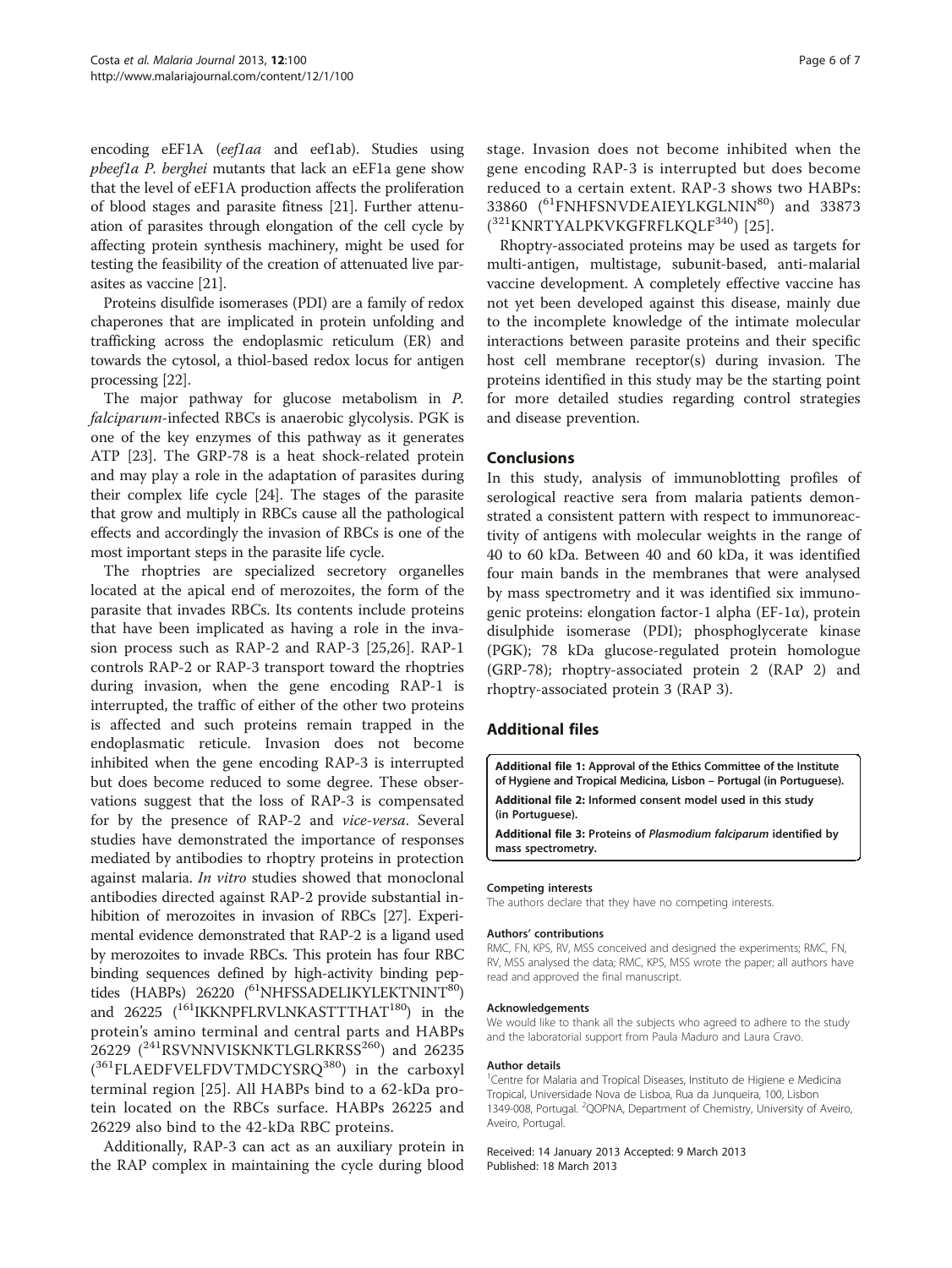<span id="page-5-0"></span>encoding eEF1A (eef1aa and eef1ab). Studies using pbeef1a P. berghei mutants that lack an eEF1a gene show that the level of eEF1A production affects the proliferation of blood stages and parasite fitness [\[21\]](#page-6-0). Further attenuation of parasites through elongation of the cell cycle by affecting protein synthesis machinery, might be used for testing the feasibility of the creation of attenuated live parasites as vaccine [[21\]](#page-6-0).

Proteins disulfide isomerases (PDI) are a family of redox chaperones that are implicated in protein unfolding and trafficking across the endoplasmic reticulum (ER) and towards the cytosol, a thiol-based redox locus for antigen processing [[22](#page-6-0)].

The major pathway for glucose metabolism in P. falciparum-infected RBCs is anaerobic glycolysis. PGK is one of the key enzymes of this pathway as it generates ATP [[23\]](#page-6-0). The GRP-78 is a heat shock-related protein and may play a role in the adaptation of parasites during their complex life cycle [\[24\]](#page-6-0). The stages of the parasite that grow and multiply in RBCs cause all the pathological effects and accordingly the invasion of RBCs is one of the most important steps in the parasite life cycle.

The rhoptries are specialized secretory organelles located at the apical end of merozoites, the form of the parasite that invades RBCs. Its contents include proteins that have been implicated as having a role in the invasion process such as RAP-2 and RAP-3 [\[25,26\]](#page-6-0). RAP-1 controls RAP-2 or RAP-3 transport toward the rhoptries during invasion, when the gene encoding RAP-1 is interrupted, the traffic of either of the other two proteins is affected and such proteins remain trapped in the endoplasmatic reticule. Invasion does not become inhibited when the gene encoding RAP-3 is interrupted but does become reduced to some degree. These observations suggest that the loss of RAP-3 is compensated for by the presence of RAP-2 and vice-versa. Several studies have demonstrated the importance of responses mediated by antibodies to rhoptry proteins in protection against malaria. In vitro studies showed that monoclonal antibodies directed against RAP-2 provide substantial inhibition of merozoites in invasion of RBCs [[27](#page-6-0)]. Experimental evidence demonstrated that RAP-2 is a ligand used by merozoites to invade RBCs. This protein has four RBC binding sequences defined by high-activity binding peptides (HABPs) 26220 (<sup>61</sup>NHFSSADELIKYLEKTNINT<sup>80</sup>) and 26225  $(^{161}$ IKKNPFLRVLNKASTTTHAT<sup>180</sup>) in the protein's amino terminal and central parts and HABPs 26229 ( $^{241}$ RSVNNVISKNKTLGLRKRSS $^{260}$ ) and 26235 (<sup>361</sup>FLAEDFVELFDVTMDCYSRQ<sup>380</sup>) in the carboxyl terminal region [[25\]](#page-6-0). All HABPs bind to a 62-kDa protein located on the RBCs surface. HABPs 26225 and 26229 also bind to the 42-kDa RBC proteins.

Additionally, RAP-3 can act as an auxiliary protein in the RAP complex in maintaining the cycle during blood stage. Invasion does not become inhibited when the gene encoding RAP-3 is interrupted but does become reduced to a certain extent. RAP-3 shows two HABPs: 33860 (<sup>61</sup>FNHFSNVDEAIEYLKGLNIN<sup>80</sup>) and 33873 (<sup>321</sup>KNRTYALPKVKGFRFLKQLF<sup>340</sup>) [[25](#page-6-0)].

Rhoptry-associated proteins may be used as targets for multi-antigen, multistage, subunit-based, anti-malarial vaccine development. A completely effective vaccine has not yet been developed against this disease, mainly due to the incomplete knowledge of the intimate molecular interactions between parasite proteins and their specific host cell membrane receptor(s) during invasion. The proteins identified in this study may be the starting point for more detailed studies regarding control strategies and disease prevention.

## Conclusions

In this study, analysis of immunoblotting profiles of serological reactive sera from malaria patients demonstrated a consistent pattern with respect to immunoreactivity of antigens with molecular weights in the range of 40 to 60 kDa. Between 40 and 60 kDa, it was identified four main bands in the membranes that were analysed by mass spectrometry and it was identified six immunogenic proteins: elongation factor-1 alpha (EF-1α), protein disulphide isomerase (PDI); phosphoglycerate kinase (PGK); 78 kDa glucose-regulated protein homologue (GRP-78); rhoptry-associated protein 2 (RAP 2) and rhoptry-associated protein 3 (RAP 3).

#### Additional files

[Additional file 1:](http://www.biomedcentral.com/content/supplementary/1475-2875-12-100-S1.pdf) Approval of the Ethics Committee of the Institute of Hygiene and Tropical Medicina, Lisbon – Portugal (in Portuguese). [Additional file 2:](http://www.biomedcentral.com/content/supplementary/1475-2875-12-100-S2.pdf) Informed consent model used in this study (in Portuguese).

[Additional file 3:](http://www.biomedcentral.com/content/supplementary/1475-2875-12-100-S3.pdf) Proteins of Plasmodium falciparum identified by mass spectrometry.

#### Competing interests

The authors declare that they have no competing interests.

#### Authors' contributions

RMC, FN, KPS, RV, MSS conceived and designed the experiments; RMC, FN, RV, MSS analysed the data; RMC, KPS, MSS wrote the paper; all authors have read and approved the final manuscript.

#### Acknowledgements

We would like to thank all the subjects who agreed to adhere to the study and the laboratorial support from Paula Maduro and Laura Cravo.

#### Author details

<sup>1</sup> Centre for Malaria and Tropical Diseases, Instituto de Higiene e Medicina Tropical, Universidade Nova de Lisboa, Rua da Junqueira, 100, Lisbon 1349-008, Portugal. <sup>2</sup> QOPNA, Department of Chemistry, University of Aveiro, Aveiro, Portugal.

Received: 14 January 2013 Accepted: 9 March 2013 Published: 18 March 2013